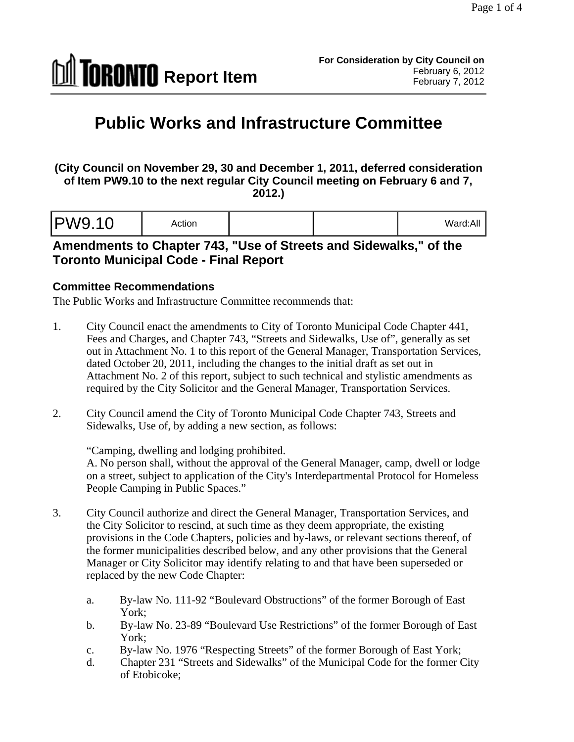

# **Public Works and Infrastructure Committee**

**(City Council on November 29, 30 and December 1, 2011, deferred consideration of Item PW9.10 to the next regular City Council meeting on February 6 and 7, 2012.)** 

| ard:All<br>$M$ oro |
|--------------------|
|--------------------|

## **Amendments to Chapter 743, "Use of Streets and Sidewalks," of the Toronto Municipal Code - Final Report**

#### **Committee Recommendations**

The Public Works and Infrastructure Committee recommends that:

- 1. City Council enact the amendments to City of Toronto Municipal Code Chapter 441, Fees and Charges, and Chapter 743, "Streets and Sidewalks, Use of", generally as set out in Attachment No. 1 to this report of the General Manager, Transportation Services, dated October 20, 2011, including the changes to the initial draft as set out in Attachment No. 2 of this report, subject to such technical and stylistic amendments as required by the City Solicitor and the General Manager, Transportation Services.
- 2. City Council amend the City of Toronto Municipal Code Chapter 743, Streets and Sidewalks, Use of, by adding a new section, as follows:

"Camping, dwelling and lodging prohibited.

A. No person shall, without the approval of the General Manager, camp, dwell or lodge on a street, subject to application of the City's Interdepartmental Protocol for Homeless People Camping in Public Spaces."

- 3. City Council authorize and direct the General Manager, Transportation Services, and the City Solicitor to rescind, at such time as they deem appropriate, the existing provisions in the Code Chapters, policies and by-laws, or relevant sections thereof, of the former municipalities described below, and any other provisions that the General Manager or City Solicitor may identify relating to and that have been superseded or replaced by the new Code Chapter:
	- a. By-law No. 111-92 "Boulevard Obstructions" of the former Borough of East York;
	- b. By-law No. 23-89 "Boulevard Use Restrictions" of the former Borough of East York;
	- c. By-law No. 1976 "Respecting Streets" of the former Borough of East York;
	- d. Chapter 231 "Streets and Sidewalks" of the Municipal Code for the former City of Etobicoke;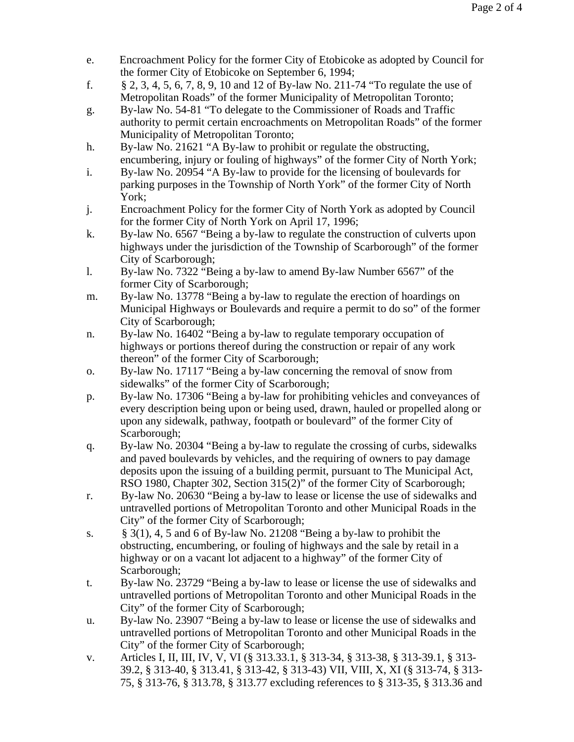- e. Encroachment Policy for the former City of Etobicoke as adopted by Council for the former City of Etobicoke on September 6, 1994;
- f. § 2, 3, 4, 5, 6, 7, 8, 9, 10 and 12 of By-law No. 211-74 "To regulate the use of Metropolitan Roads" of the former Municipality of Metropolitan Toronto;
- g. By-law No. 54-81 "To delegate to the Commissioner of Roads and Traffic authority to permit certain encroachments on Metropolitan Roads" of the former Municipality of Metropolitan Toronto;
- h. By-law No. 21621 "A By-law to prohibit or regulate the obstructing, encumbering, injury or fouling of highways" of the former City of North York;
- i. By-law No. 20954 "A By-law to provide for the licensing of boulevards for parking purposes in the Township of North York" of the former City of North York;
- j. Encroachment Policy for the former City of North York as adopted by Council for the former City of North York on April 17, 1996;
- k. By-law No. 6567 "Being a by-law to regulate the construction of culverts upon highways under the jurisdiction of the Township of Scarborough" of the former City of Scarborough;
- l. By-law No. 7322 "Being a by-law to amend By-law Number 6567" of the former City of Scarborough;
- m. By-law No. 13778 "Being a by-law to regulate the erection of hoardings on Municipal Highways or Boulevards and require a permit to do so" of the former City of Scarborough;
- n. By-law No. 16402 "Being a by-law to regulate temporary occupation of highways or portions thereof during the construction or repair of any work thereon" of the former City of Scarborough;
- o. By-law No. 17117 "Being a by-law concerning the removal of snow from sidewalks" of the former City of Scarborough;
- p. By-law No. 17306 "Being a by-law for prohibiting vehicles and conveyances of every description being upon or being used, drawn, hauled or propelled along or upon any sidewalk, pathway, footpath or boulevard" of the former City of Scarborough; see that the set of the set of the set of the set of the set of the set of the set of the set of the set of the set of the set of the set of the set of the set of the set of the set of the set of the set of th
- q. By-law No. 20304 "Being a by-law to regulate the crossing of curbs, sidewalks and paved boulevards by vehicles, and the requiring of owners to pay damage deposits upon the issuing of a building permit, pursuant to The Municipal Act, RSO 1980, Chapter 302, Section 315(2)" of the former City of Scarborough;
- r. By-law No. 20630 "Being a by-law to lease or license the use of sidewalks and untravelled portions of Metropolitan Toronto and other Municipal Roads in the City" of the former City of Scarborough;
- s.  $§ 3(1), 4, 5 \text{ and } 6 \text{ of } By-law No. 21208 \text{ "Being a by-law to prohibit the" }$ obstructing, encumbering, or fouling of highways and the sale by retail in a highway or on a vacant lot adjacent to a highway" of the former City of Scarborough; see that the set of the set of the set of the set of the set of the set of the set of the set of the set of the set of the set of the set of the set of the set of the set of the set of the set of the set of th
- t. By-law No. 23729 "Being a by-law to lease or license the use of sidewalks and untravelled portions of Metropolitan Toronto and other Municipal Roads in the City" of the former City of Scarborough;
- u. By-law No. 23907 "Being a by-law to lease or license the use of sidewalks and untravelled portions of Metropolitan Toronto and other Municipal Roads in the City" of the former City of Scarborough;
- v. Articles I, II, III, IV, V, VI (§ 313.33.1, § 313-34, § 313-38, § 313-39.1, § 313- 39.2, § 313-40, § 313.41, § 313-42, § 313-43) VII, VIII, X, XI (§ 313-74, § 313- 75, § 313-76, § 313.78, § 313.77 excluding references to § 313-35, § 313.36 and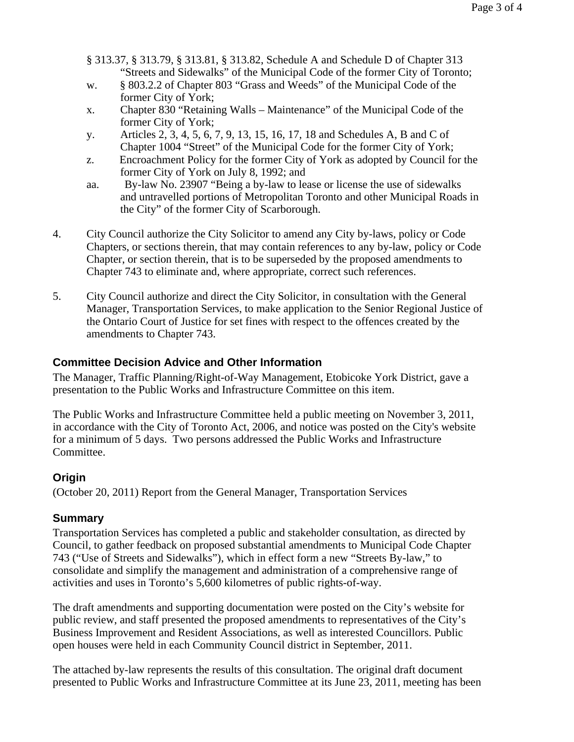- § 313.37, § 313.79, § 313.81, § 313.82, Schedule A and Schedule D of Chapter 313 "Streets and Sidewalks" of the Municipal Code of the former City of Toronto;
- w. § 803.2.2 of Chapter 803 "Grass and Weeds" of the Municipal Code of the former City of York;
- x. Chapter 830 "Retaining Walls Maintenance" of the Municipal Code of the former City of York;
- y. Articles 2, 3, 4, 5, 6, 7, 9, 13, 15, 16, 17, 18 and Schedules A, B and C of Chapter 1004 "Street" of the Municipal Code for the former City of York;
- z. Encroachment Policy for the former City of York as adopted by Council for the former City of York on July 8, 1992; and
- aa. By-law No. 23907 "Being a by-law to lease or license the use of sidewalks and untravelled portions of Metropolitan Toronto and other Municipal Roads in the City" of the former City of Scarborough.
- 4. City Council authorize the City Solicitor to amend any City by-laws, policy or Code Chapters, or sections therein, that may contain references to any by-law, policy or Code Chapter, or section therein, that is to be superseded by the proposed amendments to Chapter 743 to eliminate and, where appropriate, correct such references.
- 5. City Council authorize and direct the City Solicitor, in consultation with the General Manager, Transportation Services, to make application to the Senior Regional Justice of the Ontario Court of Justice for set fines with respect to the offences created by the amendments to Chapter 743.

#### **Committee Decision Advice and Other Information**

The Manager, Traffic Planning/Right-of-Way Management, Etobicoke York District, gave a presentation to the Public Works and Infrastructure Committee on this item.

The Public Works and Infrastructure Committee held a public meeting on November 3, 2011, in accordance with the City of Toronto Act, 2006, and notice was posted on the City's website for a minimum of 5 days. Two persons addressed the Public Works and Infrastructure Committee.

#### **Origin**

(October 20, 2011) Report from the General Manager, Transportation Services

#### **Summary**

Transportation Services has completed a public and stakeholder consultation, as directed by Council, to gather feedback on proposed substantial amendments to Municipal Code Chapter 743 ("Use of Streets and Sidewalks"), which in effect form a new "Streets By-law," to consolidate and simplify the management and administration of a comprehensive range of activities and uses in Toronto's 5,600 kilometres of public rights-of-way.

The draft amendments and supporting documentation were posted on the City's website for public review, and staff presented the proposed amendments to representatives of the City's Business Improvement and Resident Associations, as well as interested Councillors. Public open houses were held in each Community Council district in September, 2011.

The attached by-law represents the results of this consultation. The original draft document presented to Public Works and Infrastructure Committee at its June 23, 2011, meeting has been